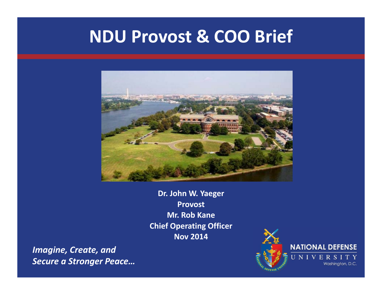## **NDU Provost & COO Brief**



**Dr. John W. Yaeger Provost Mr. Rob Kane Chief Operating Officer Nov 2014**

*Imagine, Create, and Secure a Stronger Peace…*

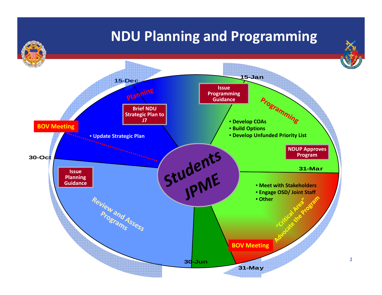#### **NDU Planning and Programming**

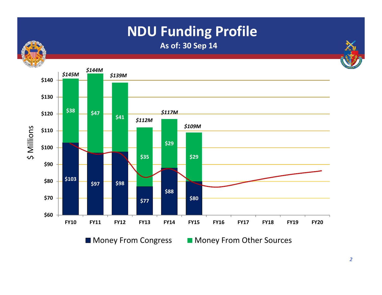## **NDU Funding Profile**

**As of: 30 Sep 14**



Money From Congress Money From Other Sources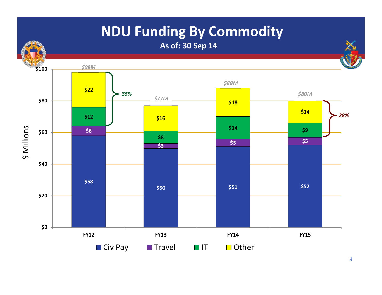## **NDU Funding By Commodity**

**As of: 30 Sep 14**

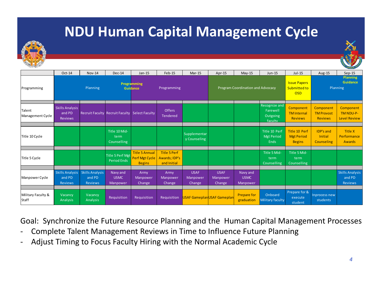#### **NDU Human Capital Management Cycle**



|                             |                                                    |                                                    |                                        |                                                          |                                                            |                                   |                                   |                                     |                                                  |                                                     |                                                  | <b>CANADIAN</b>                                |
|-----------------------------|----------------------------------------------------|----------------------------------------------------|----------------------------------------|----------------------------------------------------------|------------------------------------------------------------|-----------------------------------|-----------------------------------|-------------------------------------|--------------------------------------------------|-----------------------------------------------------|--------------------------------------------------|------------------------------------------------|
|                             | Oct-14                                             | Nov-14                                             | Dec-14                                 | $Jan-15$                                                 | $Feb-15$                                                   | Mar-15                            | Apr-15                            | $May-15$                            | Jun-15                                           | $Jul-15$                                            | Aug-15                                           | $Sep-15$                                       |
| Programming                 |                                                    | Planning                                           |                                        | Programming<br>Guidance                                  | Programming                                                |                                   |                                   | Program Coordination and Advocacy   |                                                  | <b>Issue Papers</b><br>Submitted to<br><b>OSD</b>   |                                                  | <b>Planning</b><br>Guidance<br>Planning        |
| Talent<br>Management Cycle  | <b>Skills Analysis</b><br>and PD<br><b>Reviews</b> |                                                    | <b>Recruit Faculty Recruit Faculty</b> | <b>Select Faculty</b>                                    | <b>Offers</b><br><b>Tendered</b>                           |                                   |                                   |                                     | Recognize and<br>Farewell<br>Outgoing<br>faculty | Component<br><b>TM</b> Internal<br><b>Reviews</b>   | Component<br><b>TM Provost</b><br><b>Reviews</b> | Component<br>TM NDU-P-<br><b>Level Review</b>  |
| Title 10 Cycle              |                                                    |                                                    | Title 10 Mid-<br>term<br>Counselling   |                                                          |                                                            | Supplementar<br>y Counseling      |                                   |                                     | Title 10 Perf<br><b>Mgt Period</b><br>Ends       | Title 10 Perf<br><b>Mgt Period</b><br><b>Begins</b> | <b>IDP's and</b><br>Initial<br>Counseling        | <b>Title X</b><br>Performance<br><b>Awards</b> |
| Title 5 Cycle               |                                                    |                                                    | Title 5 Perf Mgt<br><b>Period Ends</b> | <b>Title 5 Annual</b><br>Perf Mgt Cycle<br><b>Begins</b> | <b>Title 5 Perf</b><br><b>Awards; IDP's</b><br>and Initial |                                   |                                   |                                     | Title 5 Mid-<br>term<br>Counselling              | Title 5 Mid-<br>term<br><b>Counselling</b>          |                                                  |                                                |
| Manpower Cycle              | <b>Skills Analysis</b><br>and PD<br>Reviews        | <b>Skills Analysis</b><br>and PD<br><b>Reviews</b> | Navy and<br><b>USMC</b><br>Manpower    | Army<br>Manpower<br><b>Change</b>                        | Army<br>Manpower<br>Change                                 | <b>USAF</b><br>Manpower<br>Change | <b>USAF</b><br>Manpower<br>Change | Navy and<br><b>USMC</b><br>Manpower |                                                  |                                                     |                                                  | <b>Skills Analysis</b><br>and PD<br>Reviews    |
| Military Faculty &<br>Staff | <b>Vacancy</b><br>Analysis                         | Vacancy<br><b>Analysis</b>                         | Requisition                            | Requisition                                              | Requisition                                                | USAF GameplanUSAF Gameplan        |                                   | <b>Prepare for</b><br>graduation    | Onboard<br>Military faculty                      | Prepare for &<br>execute<br>student                 | Inprocess new<br>students                        |                                                |

Goal: Synchronize the Future Resource Planning and the Human Capital Management Processes

- ‐Complete Talent Management Reviews in Time to Influence Future Planning
- ‐Adjust Timing to Focus Faculty Hiring with the Normal Academic Cycle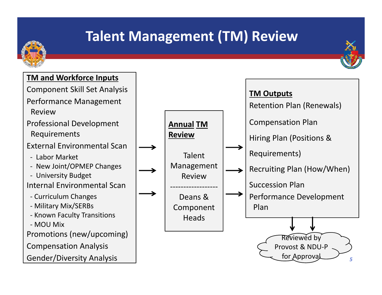## **Talent Management (TM) Review**



Gender/Diversity Analysis

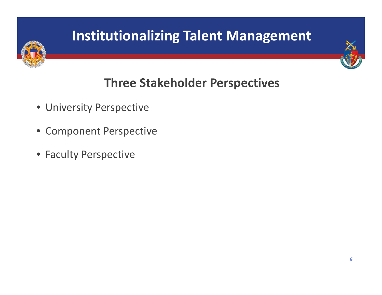# **Three Stakeholder Perspectives**

- University Perspective
- Component Perspective
- Faculty Perspective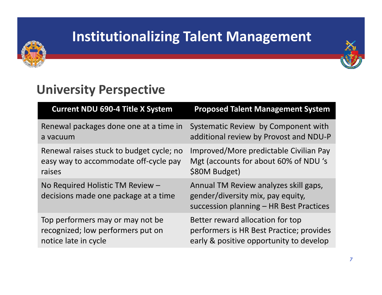



#### **University Perspective**

| <b>Current NDU 690-4 Title X System</b>                                  | <b>Proposed Talent Management System</b>                                                                              |
|--------------------------------------------------------------------------|-----------------------------------------------------------------------------------------------------------------------|
| Renewal packages done one at a time in                                   | Systematic Review by Component with                                                                                   |
| a vacuum                                                                 | additional review by Provost and NDU-P                                                                                |
| Renewal raises stuck to budget cycle; no                                 | Improved/More predictable Civilian Pay                                                                                |
| easy way to accommodate off-cycle pay                                    | Mgt (accounts for about 60% of NDU's                                                                                  |
| raises                                                                   | \$80M Budget)                                                                                                         |
| No Required Holistic TM Review -<br>decisions made one package at a time | Annual TM Review analyzes skill gaps,<br>gender/diversity mix, pay equity,<br>succession planning - HR Best Practices |
| Top performers may or may not be                                         | Better reward allocation for top                                                                                      |
| recognized; low performers put on                                        | performers is HR Best Practice; provides                                                                              |
| notice late in cycle                                                     | early & positive opportunity to develop                                                                               |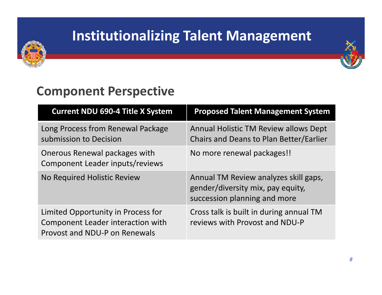



#### **Component Perspective**

| <b>Current NDU 690-4 Title X System</b>                                                                  | <b>Proposed Talent Management System</b>                                                                   |
|----------------------------------------------------------------------------------------------------------|------------------------------------------------------------------------------------------------------------|
| Long Process from Renewal Package<br>submission to Decision                                              | <b>Annual Holistic TM Review allows Dept</b><br>Chairs and Deans to Plan Better/Earlier                    |
| Onerous Renewal packages with<br>Component Leader inputs/reviews                                         | No more renewal packages!!                                                                                 |
| No Required Holistic Review                                                                              | Annual TM Review analyzes skill gaps,<br>gender/diversity mix, pay equity,<br>succession planning and more |
| Limited Opportunity in Process for<br>Component Leader interaction with<br>Provost and NDU-P on Renewals | Cross talk is built in during annual TM<br>reviews with Provost and NDU-P                                  |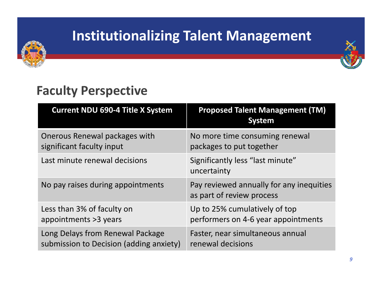



#### **Faculty Perspective**

| <b>Current NDU 690-4 Title X System</b> | <b>Proposed Talent Management (TM)</b><br><b>System</b>               |
|-----------------------------------------|-----------------------------------------------------------------------|
| Onerous Renewal packages with           | No more time consuming renewal                                        |
| significant faculty input               | packages to put together                                              |
| Last minute renewal decisions           | Significantly less "last minute"<br>uncertainty                       |
| No pay raises during appointments       | Pay reviewed annually for any inequities<br>as part of review process |
| Less than 3% of faculty on              | Up to 25% cumulatively of top                                         |
| appointments > 3 years                  | performers on 4-6 year appointments                                   |
| Long Delays from Renewal Package        | Faster, near simultaneous annual                                      |
| submission to Decision (adding anxiety) | renewal decisions                                                     |